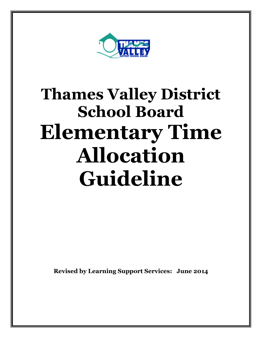

# **Thames Valley District School Board Elementary Time Allocation Guideline**

**Revised by Learning Support Services: June 2014**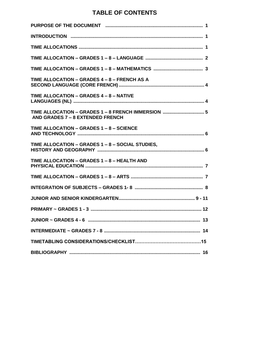## **TABLE OF CONTENTS**

| TIME ALLOCATION - GRADES 4 - 8 - FRENCH AS A                                           |
|----------------------------------------------------------------------------------------|
| TIME ALLOCATION - GRADES 4 - 8 - NATIVE                                                |
| TIME ALLOCATION - GRADES 1 - 8 FRENCH IMMERSION  5<br>AND GRADES 7 - 8 EXTENDED FRENCH |
| TIME ALLOCATION - GRADES 1 - 8 - SCIENCE                                               |
| TIME ALLOCATION - GRADES 1 - 8 - SOCIAL STUDIES,                                       |
| TIME ALLOCATION - GRADES 1 - 8 - HEALTH AND                                            |
|                                                                                        |
|                                                                                        |
|                                                                                        |
|                                                                                        |
|                                                                                        |
|                                                                                        |
|                                                                                        |
|                                                                                        |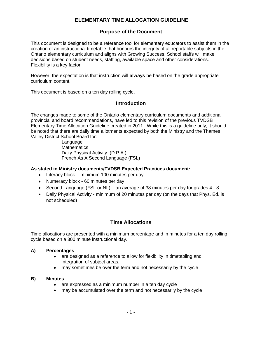## **ELEMENTARY TIME ALLOCATION GUIDELINE**

#### **Purpose of the Document**

This document is designed to be a reference tool for elementary educators to assist them in the creation of an instructional timetable that honours the integrity of all reportable subjects in the Ontario elementary curriculum and aligns with Growing Success. School staffs will make decisions based on student needs, staffing, available space and other considerations. Flexibility is a key factor.

However, the expectation is that instruction will **always** be based on the grade appropriate curriculum content.

This document is based on a ten day rolling cycle.

#### **Introduction**

The changes made to some of the Ontario elementary curriculum documents and additional provincial and board recommendations, have led to this revision of the previous TVDSB Elementary Time Allocation Guideline created in 2011. While this is a guideline only, it should be noted that there are daily time allotments expected by both the Ministry and the Thames Valley District School Board for:

> Language **Mathematics** Daily Physical Activity (D.P.A.) French As A Second Language (FSL)

#### **As stated in Ministry documents/TVDSB Expected Practices document:**

- Literacy block minimum 100 minutes per day
- Numeracy block 60 minutes per day
- Second Language (FSL or NL) an average of 38 minutes per day for grades 4 8
- Daily Physical Activity minimum of 20 minutes per day (on the days that Phys. Ed. is not scheduled)

#### **Time Allocations**

Time allocations are presented with a minimum percentage and in minutes for a ten day rolling cycle based on a 300 minute instructional day.

#### **A) Percentages**

- are designed as a reference to allow for flexibility in timetabling and integration of subject areas.
- may sometimes be over the term and not necessarily by the cycle

#### **B) Minutes**

- are expressed as a minimum number in a ten day cycle
- may be accumulated over the term and not necessarily by the cycle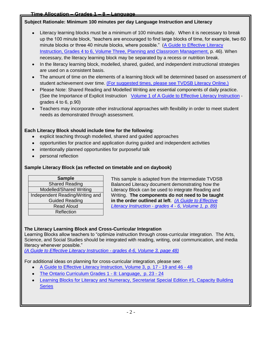## **Subject Rationale: Minimum 100 minutes per day Language Instruction and Literacy**

- Literacy learning blocks must be a minimum of 100 minutes daily. When it is necessary to break up the 100 minute block, "teachers are encouraged to find large blocks of time, for example, two 60 minute blocks or three 40 minute blocks, where possible." [\(A Guide to Effective Literacy](http://www.eworkshop.on.ca/edu/resources/guides/Guide_Lit_456_Vol_3_Planning.pdf)  [Instruction, Grades 4 to 6, Volume Three, Planning and Classroom Management,](http://www.eworkshop.on.ca/edu/resources/guides/Guide_Lit_456_Vol_3_Planning.pdf) p. 46). When necessary, the literacy learning block may be separated by a recess or nutrition break.
- In the literacy learning block, modelled, shared, guided, and independent instructional strategies are used on a consistent basis.
- The amount of time on the elements of a learning block will be determined based on assessment of student achievement over time. [\(For suggested times, please see TVDSB Literacy Online.\)](http://www.tvdsb.ca/intranet/iPrograms.cfm?subpage=166393)
- Please Note: Shared Reading and Modelled Writing are essential components of daily practice. (See the Importance of Explicit Instruction [Volume 1 of A Guide to Effective Literacy Instruction](http://eworkshop.on.ca/edu/resources/guides/Guide_Lit_456_Vol_1_Assessement.pdf) grades 4 to 6, p.90)
- Teachers may incorporate other instructional approaches with flexibility in order to meet student needs as demonstrated through assessment.

## **Each Literacy Block should include time for the following**:

- explicit teaching through modelled, shared and guided approaches
- opportunities for practice and application during guided and independent activities  $\bullet$
- intentionally planned opportunities for purposeful talk
- personal reflection

## **Sample Literacy Block (as reflected on timetable and on daybook)**

| <b>Sample</b>                   |
|---------------------------------|
| <b>Shared Reading</b>           |
| Modelled/Shared Writing         |
| Independent Reading/Writing and |
| <b>Guided Reading</b>           |
| <b>Read Aloud</b>               |
| Reflection                      |

This sample is adapted from the Intermediate TVDSB Balanced Literacy document demonstrating how the Literacy Block can be used to integrate Reading and Writing. **The components do not need to be taught in the order outlined at left**. *[\(A Guide to Effective](http://eworkshop.on.ca/edu/resources/guides/Guide_Lit_456_Vol_1_Assessement.pdf)  [Literacy Instruction -](http://eworkshop.on.ca/edu/resources/guides/Guide_Lit_456_Vol_1_Assessement.pdf) grades 4 - 6, Volume 1, p. 89)*

#### **The Literacy Learning Block and Cross-Curricular Integration**

Learning Blocks allow teachers to "optimize instruction through cross-curricular integration. The Arts, Science, and Social Studies should be integrated with reading, writing, oral communication, and media literacy whenever possible."

*[\(A Guide to Effective Literacy Instruction -](http://www.eworkshop.on.ca/edu/resources/guides/Guide_Lit_456_Vol_3_Planning.pdf) grades 4-6, Volume 3, page 48)*

For additional ideas on planning for cross-curricular integration, please see:

- [A Guide to Effective Literacy Instruction, Volume 3, p. 17 -](http://www.eworkshop.on.ca/edu/resources/guides/Guide_Lit_456_Vol_3_Planning.pdf) 19 and 46 48
- [The Ontario Curriculum Grades 1 -](http://www.edu.gov.on.ca/eng/curriculum/elementary/language.html) 8: Language, p. 23 24  $\bullet$
- [Learning Blocks for Literacy and Numeracy, Secretariat Special Edition #1, Capacity Building](http://www.edu.gov.on.ca/eng/literacynumeracy/inspire/research/learningblocks.pdf)  **[Series](http://www.edu.gov.on.ca/eng/literacynumeracy/inspire/research/learningblocks.pdf)**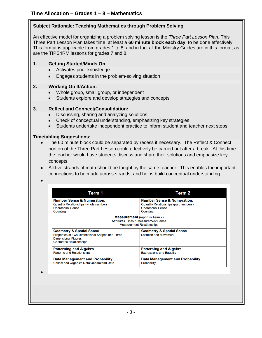#### **Subject Rationale: Teaching Mathematics through Problem Solving**

An effective model for organizing a problem solving lesson is the *Three Part Lesson Plan*. This Three Part Lesson Plan takes time, at least a **60 minute block each day**, to be done effectively. This format is applicable from grades 1 to 8, and in fact all the Ministry Guides are in this format, as are the TIPS4RM lessons for grades 7 and 8.

#### **1. Getting Started/Minds On:**

- $\bullet$ Activates prior knowledge
- Engages students in the problem-solving situation

#### **2. Working On It/Action:**

- Whole group, small group, or independent  $\bullet$
- Students explore and develop strategies and concepts

#### **3. Reflect and Connect/Consolidation:**

- Discussing, sharing and analyzing solutions
- Check of conceptual understanding, emphasizing key strategies
- Students undertake independent practice to inform student and teacher next steps

#### **Timetabling Suggestions:**

- The 60 minute block could be separated by recess if necessary. The Reflect & Connect  $\bullet$ portion of the Three Part Lesson could effectively be carried out after a break. At this time the teacher would have students discuss and share their solutions and emphasize key concepts.
- All five strands of math should be taught by the same teacher. This enables the important connections to be made across strands, and helps build conceptual understanding.

| Term 1                                          | Term 2                                                                                                                        |
|-------------------------------------------------|-------------------------------------------------------------------------------------------------------------------------------|
| <b>Number Sense &amp; Numeration:</b>           | <b>Number Sense &amp; Numeration:</b>                                                                                         |
| <b>Quantity Relationships (whole numbers)</b>   | <b>Quantity Relationships (part numbers)</b>                                                                                  |
| <b>Operational Sense</b>                        | <b>Operational Sense</b>                                                                                                      |
| Counting                                        | Counting                                                                                                                      |
|                                                 | <b>Measurement</b> (report in Term 2)<br><b>Attributes, Units &amp; Measurement Sense</b><br><b>Measurement Relationships</b> |
| <b>Geometry &amp; Spatial Sense</b>             | <b>Geometry &amp; Spatial Sense</b>                                                                                           |
| Properties of Two-Dimensional Shapes and Three- | <b>Location and Movement</b>                                                                                                  |
| <b>Dimensional Figures</b>                      |                                                                                                                               |
| <b>Geometric Relationships</b>                  |                                                                                                                               |
| <b>Patterning and Algebra</b>                   | <b>Patterning and Algebra</b>                                                                                                 |
| <b>Patterns and Relationships</b>               | <b>Expressions and Equality</b>                                                                                               |
|                                                 |                                                                                                                               |
| Data Management and Probability                 | <b>Data Management and Probability</b>                                                                                        |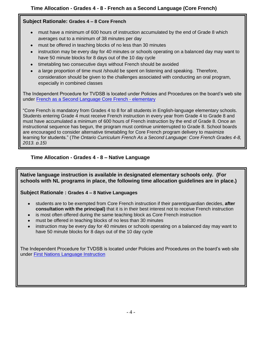#### **Subject Rationale: Grades 4 – 8 Core French**

- must have a minimum of 600 hours of instruction accumulated by the end of Grade 8 which averages out to a minimum of 38 minutes per day
- must be offered in teaching blocks of no less than 30 minutes
- instruction may be every day for 40 minutes or schools operating on a balanced day may want to have 50 minute blocks for 8 days out of the 10 day cycle
- timetabling two consecutive days without French should be avoided
- a large proportion of time must /should be spent on listening and speaking. Therefore, consideration should be given to the challenges associated with conducting an oral program, especially in combined classes

The Independent Procedure for TVDSB is located under Policies and Procedures on the board's web site under [French as a Second Language Core French -](http://www.tvdsb.ca/files/filesystem/FSL_CoreFrench_Elementary.pdf) elementary

"Core French is mandatory from Grades 4 to 8 for all students in English-language elementary schools. Students entering Grade 4 must receive French instruction in every year from Grade 4 to Grade 8 and must have accumulated a minimum of 600 hours of French instruction by the end of Grade 8. Once an instructional sequence has begun, the program must continue uninterrupted to Grade 8. School boards are encouraged to consider alternative timetabling for Core French program delivery to maximize learning for students." (*The Ontario Curriculum French As a Second Language: Core French Grades 4-8, 2013. p.15)*

#### **Time Allocation - Grades 4 - 8 – Native Language**

**Native language instruction is available in designated elementary schools only. (For schools with NL programs in place, the following time allocation guidelines are in place.)**

#### **Subject Rationale : Grades 4 – 8 Native Languages**

- students are to be exempted from Core French instruction if their parent/guardian decides, **after consultation with the principal)** that it is in their best interest not to receive French instruction
- is most often offered during the same teaching block as Core French instruction
- must be offered in teaching blocks of no less than 30 minutes
- instruction may be every day for 40 minutes or schools operating on a balanced day may want to have 50 minute blocks for 8 days out of the 10 day cycle

The Independent Procedure for TVDSB is located under Policies and Procedures on the board's web site under [First Nations Language Instruction](http://www.tvdsb.ca/files/filesystem/Elementary%20and%20Secondary%20Native%20Language%20Staffing%20and%20Program%20Delivery.pdf)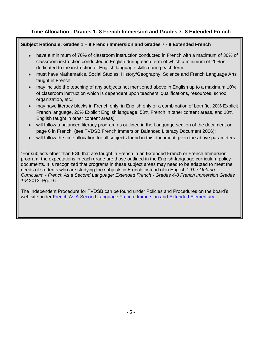#### **Time Allocation - Grades 1- 8 French Immersion and Grades 7- 8 Extended French**

#### **Subject Rationale: Grades 1 – 8 French Immersion and Grades 7 - 8 Extended French**

- have a minimum of 70% of classroom instruction conducted in French with a maximum of 30% of classroom instruction conducted in English during each term of which a minimum of 20% is dedicated to the instruction of English language skills during each term
- must have Mathematics, Social Studies, History/Geography, Science and French Language Arts taught in French;
- may include the teaching of any subjects not mentioned above in English up to a maximum 10% of classroom instruction which is dependent upon teachers' qualifications, resources, school organization, etc.;
- may have literacy blocks in French only, in English only or a combination of both (ie. 20% Explicit French language, 20% Explicit English language, 50% French in other content areas, and 10% English taught in other content areas)
- will follow a balanced literacy program as outlined in the Language section of the document on page 6 in French (see TVDSB French Immersion Balanced Literacy Document 2006);
- will follow the time allocation for all subjects found in this document given the above parameters.

"For subjects other than FSL that are taught in French in an Extended French or French Immersion program, the expectations in each grade are those outlined in the English-language curriculum policy documents. It is recognized that programs in these subject areas may need to be adapted to meet the needs of students who are studying the subjects in French instead of in English." *The Ontario Curriculum - French As a Second Language: Extended French - Grades 4-8 French Immersion Grades 1-8* 2013. Pg. 16

The Independent Procedure for TVDSB can be found under Policies and Procedures on the board's web site under [French As A Second Language French: Immersion and Extended Elementary](http://www.tvdsb.ca/files/filesystem/French%20as%20a%20Second%20Language%20Immers%20&%20Extend%20Elem%20Jun07.pdf)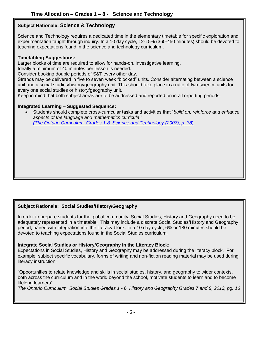#### **Subject Rationale: Science & Technology**

Science and Technology requires a dedicated time in the elementary timetable for specific exploration and experimentation taught through inquiry. In a 10 day cycle, 12-15% (360-450 minutes) should be devoted to teaching expectations found in the science and technology curriculum.

#### **Timetabling Suggestions:**

Larger blocks of time are required to allow for hands-on, investigative learning.

Ideally a minimum of 40 minutes per lesson is needed.

Consider booking double periods of S&T every other day.

Strands may be delivered in five to seven week "blocked" units. Consider alternating between a science unit and a social studies/history/geography unit. This should take place in a ratio of two science units for every one social studies or history/geography unit.

Keep in mind that both subject areas are to be addressed and reported on in all reporting periods.

#### **Integrated Learning – Suggested Sequence:**

Students should complete cross-curricular tasks and activities that "*build on, reinforce and enhance aspects of the language and mathematics curricula*." *[\(The Ontario Curriculum, Grades 1-8: Science and Technology \(2007\), p. 38](http://www.edu.gov.on.ca/eng/curriculum/elementary/scientec18currb.pdf)*)

#### **Subject Rationale: Social Studies/History/Geography**

In order to prepare students for the global community, Social Studies, History and Geography need to be adequately represented in a timetable.This may include a discrete Social Studies/History and Geography period, paired with integration into the literacy block. In a 10 day cycle, 6% or 180 minutes should be devoted to teaching expectations found in the Social Studies curriculum.

#### **Integrate Social Studies or History/Geography in the Literacy Block:**

Expectations in Social Studies, History and Geography may be addressed during the literacy block. For example, subject specific vocabulary, forms of writing and non-fiction reading material may be used during literacy instruction.

"Opportunities to relate knowledge and skills in social studies, history, and geography to wider contexts, both across the curriculum and in the world beyond the school, motivate students to learn and to become lifelong learners"

*The Ontario Curriculum, Social Studies Grades 1 - 6, History and Geography Grades 7 and 8, 2013, pg. 16*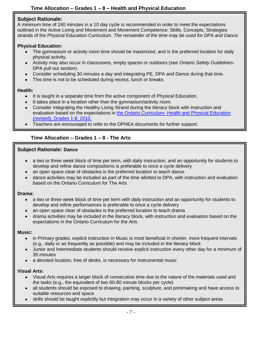## **Time Allocation – Grades 1 – 8 – Health and Physical Education**

#### **Subject Rationale:**

A minimum time of 240 minutes in a 10 day cycle is recommended in order to meet the expectations outlined in the Active Living and Movement and Movement Competence: Skills, Concepts, Strategies strands of the Physical Education Curriculum. *The remainder of the time may be used for DPA and Dance.*

#### **Physical Education:**

- The gymnasium or activity room time should be maximized, and is the preferred location for daily physical activity.
- Activity may also occur in classrooms, empty spaces or outdoors (see *Ontario Safety Guidelines*-DPA pull out section).
- Consider scheduling 30 minutes a day and integrating PE, DPA and Dance during that time.
- This time is not to be scheduled during recess, lunch or breaks.

#### **Health:**

- It is taught in a separate time from the active component of Physical Education.
- It takes place in a location other than the gymnasium/activity room.
- Consider integrating the Healthy Living Strand during the literacy block with instruction and evaluation based on the expectations in the Ontario Curriculum- [Health and Physical Education](http://www.edu.gov.on.ca/eng/curriculum/elementary/health.html)  [\(revised\), Grades 1-8, 2010.](http://www.edu.gov.on.ca/eng/curriculum/elementary/health.html)
- Teachers are encouraged to refer to the OPHEA documents for further support.

#### **Time Allocation – Grades 1 – 8 - The Arts**

#### **Subject Rationale: Dance**

- a two or three week block of time per term, with daily instruction, and an opportunity for students to develop and refine dance compositions is preferable to once a cycle delivery
- an open space clear of obstacles is the preferred location to teach dance
- dance activities may be included as part of the time allotted to DPA, with instruction and evaluation based on the Ontario Curriculum for The Arts

#### **Drama:**

- a two or three week block of time per term with daily instruction and an opportunity for students to develop and refine performances is preferable to once a cycle delivery
- an open space clear of obstacles is the preferred location to teach drama
- drama activities may be included in the literacy block, with instruction and evaluation based on the expectations in the Ontario Curriculum for the Arts

#### **Music:**

- in Primary grades, explicit instruction in Music is most beneficial in shorter, more frequent intervals (e.g., daily or as frequently as possible) and may be included in the literacy block
- Junior and Intermediate students should receive explicit instruction every other day for a minimum of 35 minutes
- a devoted location, free of desks, is necessary for instrumental music

#### **Visual Arts:**

- Visual Arts requires a larger block of consecutive time due to the nature of the materials used and the tasks (e.g., the equivalent of two 60-80 minute blocks per cycle)
- all students should be exposed to drawing, painting, sculpture, and printmaking and have access to suitable resources and space
- skills should be taught explicitly but integration may occur in a variety of other subject areas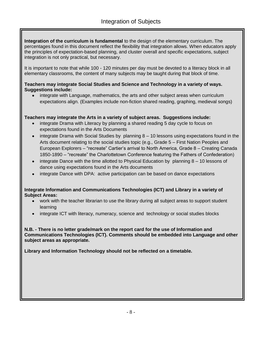**Integration of the curriculum is fundamental** to the design of the elementary curriculum. The percentages found in this document reflect the flexibility that integration allows. When educators apply the principles of expectation-based planning, and cluster overall and specific expectations, subject integration is not only practical, but necessary.

It is important to note that while 100 - 120 minutes per day must be devoted to a literacy block in all elementary classrooms, the content of many subjects may be taught during that block of time.

#### **Teachers may integrate Social Studies and Science and Technology in a variety of ways. Suggestions include:**

integrate with Language, mathematics, the arts and other subject areas when curriculum expectations align. (Examples include non-fiction shared reading, graphing, medieval songs)

## **Teachers may integrate the Arts in a variety of subject areas. Suggestions include:**

- integrate Drama with Literacy by planning a shared reading 5 day cycle to focus on expectations found in the Arts Documents
- integrate Drama with Social Studies by planning 8 10 lessons using expectations found in the Arts document relating to the social studies topic (e.g., Grade 5 – First Nation Peoples and European Explorers – "recreate" Cartier's arrival to North America, Grade 8 – Creating Canada 1850-1890 – "recreate" the Charlottetown Conference featuring the Fathers of Confederation)
- integrate Dance with the time allotted to Physical Education by planning 8 10 lessons of  $\bullet$ dance using expectations found in the Arts documents
- integrate Dance with DPA: active participation can be based on dance expectations

#### **Integrate Information and Communications Technologies (ICT) and Library in a variety of Subject Areas:**

- work with the teacher librarian to use the library during all subject areas to support student learning
- integrate ICT with literacy, numeracy, science and technology or social studies blocks

**N.B. - There is no letter grade/mark on the report card for the use of Information and Communications Technologies (ICT). Comments should be embedded into Language and other subject areas as appropriate.**

**Library and Information Technology should not be reflected on a timetable.**

 $\blacksquare$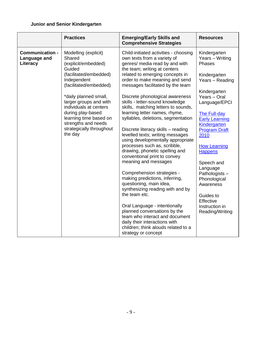#### **Junior and Senior Kindergarten**

|                                                    | <b>Practices</b>                                                                                                                                                                                                                                                                                                             | <b>Emerging/Early Skills and</b><br><b>Comprehensive Strategies</b>                                                                                                                                                                                                                                                                                                                                                                                                                                                                                                                                                                                                                                                                                                                                                                                                                                                             | <b>Resources</b>                                                                                                                                                                                                                                                                                                                                                                                              |
|----------------------------------------------------|------------------------------------------------------------------------------------------------------------------------------------------------------------------------------------------------------------------------------------------------------------------------------------------------------------------------------|---------------------------------------------------------------------------------------------------------------------------------------------------------------------------------------------------------------------------------------------------------------------------------------------------------------------------------------------------------------------------------------------------------------------------------------------------------------------------------------------------------------------------------------------------------------------------------------------------------------------------------------------------------------------------------------------------------------------------------------------------------------------------------------------------------------------------------------------------------------------------------------------------------------------------------|---------------------------------------------------------------------------------------------------------------------------------------------------------------------------------------------------------------------------------------------------------------------------------------------------------------------------------------------------------------------------------------------------------------|
| <b>Communication -</b><br>Language and<br>Literacy | Modelling (explicit)<br>Shared<br>(explicit/embedded)<br>Guided<br>(facilitated/embedded)<br>Independent<br>(facilitated/embedded)<br>*daily planned small,<br>larger groups and with<br>individuals at centers<br>during play-based<br>learning time based on<br>strengths and needs<br>strategically throughout<br>the day | Child-initiated activities - choosing<br>own texts from a variety of<br>genres/ media read by and with<br>the team; writing at centers<br>related to emerging concepts in<br>order to make meaning and send<br>messages facilitated by the team<br>Discrete phonological awareness<br>skills - letter-sound knowledge<br>skills, matching letters to sounds,<br>learning letter names, rhyme,<br>syllables, deletions, segmentation<br>Discrete literacy skills - reading<br>levelled texts; writing messages<br>using developmentally appropriate<br>processes such as, scribble,<br>drawing, phonetic spelling and<br>conventional print to convey<br>meaning and messages<br>Comprehension strategies -<br>making predictions, inferring,<br>questioning, main idea,<br>synthesizing reading with and by<br>the team etc.<br>Oral Language - intentionally<br>planned conversations by the<br>team who interact and document | Kindergarten<br>Years - Writing<br>Phases<br>Kindergarten<br>Years - Reading<br>Kindergarten<br>Years - Oral<br>Language/EPCI<br>The Full-day<br><b>Early Learning</b><br><b>Kindergarten</b><br><b>Program Draft</b><br>2010<br><b>How Learning</b><br><b>Happens</b><br>Speech and<br>Language<br>Pathologists-<br>Phonological<br>Awareness<br>Guides to<br>Effective<br>Instruction in<br>Reading/Writing |
|                                                    |                                                                                                                                                                                                                                                                                                                              | daily their interactions with<br>children; think alouds related to a<br>strategy or concept                                                                                                                                                                                                                                                                                                                                                                                                                                                                                                                                                                                                                                                                                                                                                                                                                                     |                                                                                                                                                                                                                                                                                                                                                                                                               |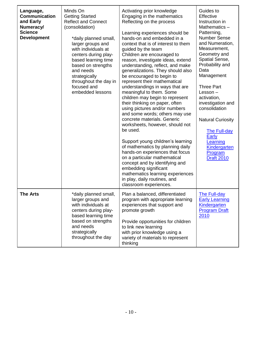| Language,<br><b>Communication</b><br>and Early<br>Numeracy/<br><b>Science</b><br><b>Development</b> | Minds On<br><b>Getting Started</b><br><b>Reflect and Connect</b><br>(consolidation)<br>*daily planned small,<br>larger groups and<br>with individuals at<br>centers during play-<br>based learning time<br>based on strengths<br>and needs<br>strategically<br>throughout the day in<br>focused and<br>embedded lessons | Activating prior knowledge<br>Engaging in the mathematics<br>Reflecting on the process<br>Learning experiences should be<br>hands-on and embedded in a<br>context that is of interest to them<br>guided by the team<br>Children are encouraged to<br>reason, investigate ideas, extend<br>understanding, reflect, and make<br>generalizations. They should also<br>be encouraged to begin to<br>represent their mathematical<br>understandings in ways that are<br>meaningful to them. Some<br>children may begin to represent<br>their thinking on paper, often<br>using pictures and/or numbers<br>and some words; others may use<br>concrete materials. Generic<br>worksheets, however, should not<br>be used.<br>Support young children's learning<br>of mathematics by planning daily<br>hands-on experiences that focus<br>on a particular mathematical<br>concept and by identifying and<br>embedding significant<br>mathematics learning experiences<br>in play, daily routines, and<br>classroom experiences. | Guides to<br>Effective<br>Instruction in<br>Mathematics-<br>Patterning,<br><b>Number Sense</b><br>and Numeration,<br>Measurement,<br>Geometry and<br>Spatial Sense,<br>Probability and<br>Data<br>Management<br><b>Three Part</b><br>Lesson-<br>activation,<br>investigation and<br>consolidation<br><b>Natural Curiosity</b><br><b>The Full-day</b><br>Early<br>Learning<br>Kindergarten<br>Program<br><b>Draft 2010</b> |
|-----------------------------------------------------------------------------------------------------|-------------------------------------------------------------------------------------------------------------------------------------------------------------------------------------------------------------------------------------------------------------------------------------------------------------------------|------------------------------------------------------------------------------------------------------------------------------------------------------------------------------------------------------------------------------------------------------------------------------------------------------------------------------------------------------------------------------------------------------------------------------------------------------------------------------------------------------------------------------------------------------------------------------------------------------------------------------------------------------------------------------------------------------------------------------------------------------------------------------------------------------------------------------------------------------------------------------------------------------------------------------------------------------------------------------------------------------------------------|---------------------------------------------------------------------------------------------------------------------------------------------------------------------------------------------------------------------------------------------------------------------------------------------------------------------------------------------------------------------------------------------------------------------------|
| The Arts                                                                                            | *daily planned small,<br>larger groups and<br>with individuals at<br>centers during play-<br>based learning time<br>based on strengths<br>and needs<br>strategically<br>throughout the day                                                                                                                              | Plan a balanced, differentiated<br>program with appropriate learning<br>experiences that support and<br>promote growth<br>Provide opportunities for children<br>to link new learning<br>with prior knowledge using a<br>variety of materials to represent<br>thinking                                                                                                                                                                                                                                                                                                                                                                                                                                                                                                                                                                                                                                                                                                                                                  | <b>The Full-day</b><br><b>Early Learning</b><br>Kindergarten<br><b>Program Draft</b><br>2010                                                                                                                                                                                                                                                                                                                              |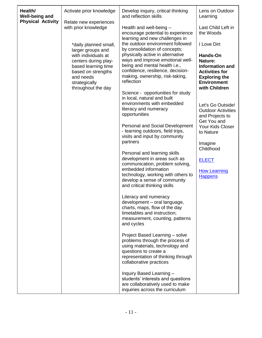| Health/<br><b>Well-being and</b><br><b>Physical Activity</b> | Activate prior knowledge<br>Relate new experiences<br>with prior knowledge<br>*daily planned small,<br>larger groups and<br>with individuals at<br>centers during play-<br>based learning time<br>based on strengths<br>and needs<br>strategically<br>throughout the day | Develop inquiry, critical thinking<br>and reflection skills<br>Health and well-being -<br>encourage potential to experience<br>learning and new challenges in<br>the outdoor environment followed<br>by consolidation of concepts;<br>physically active in alternative<br>ways and improve emotional well-<br>being and mental health i.e.,<br>confidence, resilience, decision-<br>making, ownership, risk-taking,<br>reflection<br>Science - opportunities for study<br>in local, natural and built<br>environments with embedded<br>literacy and numeracy                                                                                                                                                                                                                                                                                                                            | Lens on Outdoor<br>Learning<br>Last Child Left in<br>the Woods<br>I Love Dirt<br>Hands-On<br>Nature:<br><b>Information and</b><br><b>Activities for</b><br><b>Exploring the</b><br><b>Environment</b><br>with Children<br>Let's Go Outside! |
|--------------------------------------------------------------|--------------------------------------------------------------------------------------------------------------------------------------------------------------------------------------------------------------------------------------------------------------------------|-----------------------------------------------------------------------------------------------------------------------------------------------------------------------------------------------------------------------------------------------------------------------------------------------------------------------------------------------------------------------------------------------------------------------------------------------------------------------------------------------------------------------------------------------------------------------------------------------------------------------------------------------------------------------------------------------------------------------------------------------------------------------------------------------------------------------------------------------------------------------------------------|---------------------------------------------------------------------------------------------------------------------------------------------------------------------------------------------------------------------------------------------|
|                                                              |                                                                                                                                                                                                                                                                          | opportunities<br>Personal and Social Development<br>- learning outdoors, field trips,<br>visits and input by community<br>partners<br>Personal and learning skills<br>development in areas such as<br>communication, problem solving,<br>embedded information<br>technology, working with others to<br>develop a sense of community<br>and critical thinking skills<br>Literacy and numeracy<br>development - oral language,<br>charts, maps, flow of the day<br>timetables and instruction;<br>measurement, counting, patterns<br>and cycles<br>Project Based Learning - solve<br>problems through the process of<br>using materials, technology and<br>questions to create a<br>representation of thinking through<br>collaborative practices<br>Inquiry Based Learning -<br>students' interests and questions<br>are collaboratively used to make<br>inquiries across the curriculum | <b>Outdoor Activities</b><br>and Projects to<br>Get You and<br>Your Kids Closer<br>to Nature<br>Imagine<br>Childhood<br><b>ELECT</b><br><b>How Learning</b><br><b>Happens</b>                                                               |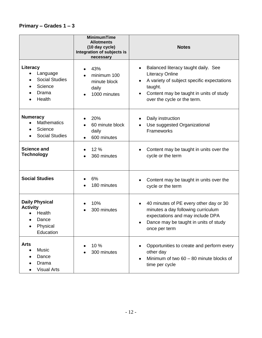## **Primary – Grades 1 – 3**

|                                                                                      | <b>MinimumTime</b><br><b>Allotments</b><br>(10 day cycle)<br>Integration of subjects is<br>necessary | <b>Notes</b>                                                                                                                                                                                                               |
|--------------------------------------------------------------------------------------|------------------------------------------------------------------------------------------------------|----------------------------------------------------------------------------------------------------------------------------------------------------------------------------------------------------------------------------|
| Literacy<br>Language<br><b>Social Studies</b><br>Science<br>Drama<br>Health          | 43%<br>minimum 100<br>minute block<br>daily<br>1000 minutes                                          | Balanced literacy taught daily. See<br>$\bullet$<br><b>Literacy Online</b><br>A variety of subject specific expectations<br>$\bullet$<br>taught.<br>Content may be taught in units of study<br>over the cycle or the term. |
| <b>Numeracy</b><br><b>Mathematics</b><br>Science<br><b>Social Studies</b>            | 20%<br>60 minute block<br>daily<br>600 minutes                                                       | Daily instruction<br>٠<br>Use suggested Organizational<br>Frameworks                                                                                                                                                       |
| <b>Science and</b><br><b>Technology</b>                                              | 12 %<br>360 minutes                                                                                  | Content may be taught in units over the<br>٠<br>cycle or the term                                                                                                                                                          |
| <b>Social Studies</b>                                                                | 6%<br>180 minutes                                                                                    | Content may be taught in units over the<br>cycle or the term                                                                                                                                                               |
| <b>Daily Physical</b><br><b>Activity</b><br>Health<br>Dance<br>Physical<br>Education | 10%<br>300 minutes                                                                                   | 40 minutes of PE every other day or 30<br>$\bullet$<br>minutes a day following curriculum<br>expectations and may include DPA<br>Dance may be taught in units of study<br>$\bullet$<br>once per term                       |
| <b>Arts</b><br><b>Music</b><br>Dance<br>Drama<br><b>Visual Arts</b>                  | 10 %<br>300 minutes                                                                                  | Opportunities to create and perform every<br>other day<br>Minimum of two 60 - 80 minute blocks of<br>time per cycle                                                                                                        |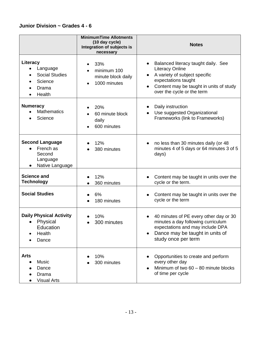## **Junior Division ~ Grades 4 - 6**

|                                                                              | <b>MinimumTime Allotments</b><br>(10 day cycle)<br>Integration of subjects is<br>necessary | <b>Notes</b>                                                                                                                                                                                                     |
|------------------------------------------------------------------------------|--------------------------------------------------------------------------------------------|------------------------------------------------------------------------------------------------------------------------------------------------------------------------------------------------------------------|
| Literacy<br>Language<br><b>Social Studies</b><br>Science<br>Drama<br>Health  | 33%<br>minimum 100<br>minute block daily<br>1000 minutes                                   | Balanced literacy taught daily. See<br><b>Literacy Online</b><br>A variety of subject specific<br>۰<br>expectations taught<br>Content may be taught in units of study<br>$\bullet$<br>over the cycle or the term |
| <b>Numeracy</b><br><b>Mathematics</b><br>Science                             | 20%<br>60 minute block<br>daily<br>600 minutes                                             | Daily instruction<br>$\bullet$<br>Use suggested Organizational<br>Frameworks (link to Frameworks)                                                                                                                |
| <b>Second Language</b><br>French as<br>Second<br>Language<br>Native Language | 12%<br>380 minutes                                                                         | no less than 30 minutes daily (or 48<br>$\bullet$<br>minutes 4 of 5 days or 64 minutes 3 of 5<br>days)                                                                                                           |
| <b>Science and</b><br><b>Technology</b>                                      | 12%<br>360 minutes                                                                         | Content may be taught in units over the<br>cycle or the term.                                                                                                                                                    |
| <b>Social Studies</b>                                                        | 6%<br>180 minutes                                                                          | Content may be taught in units over the<br>$\bullet$<br>cycle or the term                                                                                                                                        |
| <b>Daily Physical Activity</b><br>Physical<br>Education<br>Health<br>Dance   | 10%<br>300 minutes                                                                         | 40 minutes of PE every other day or 30<br>$\bullet$<br>minutes a day following curriculum<br>expectations and may include DPA<br>Dance may be taught in units of<br>study once per term                          |
| <b>Arts</b><br>Music<br>Dance<br>Drama<br><b>Visual Arts</b>                 | 10%<br>300 minutes                                                                         | Opportunities to create and perform<br>every other day<br>Minimum of two 60 - 80 minute blocks<br>$\bullet$<br>of time per cycle                                                                                 |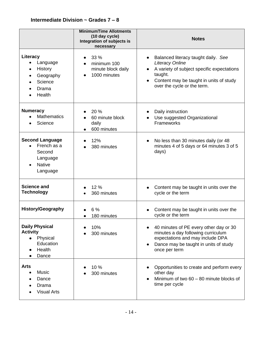|                                                                                                   | <b>MinimumTime Allotments</b><br>(10 day cycle)<br>Integration of subjects is<br>necessary | <b>Notes</b>                                                                                                                                                                                                  |
|---------------------------------------------------------------------------------------------------|--------------------------------------------------------------------------------------------|---------------------------------------------------------------------------------------------------------------------------------------------------------------------------------------------------------------|
| Literacy<br>Language<br>History<br>Geography<br>Science<br>Drama<br>Health                        | 33 %<br>minimum 100<br>minute block daily<br>1000 minutes                                  | Balanced literacy taught daily. See<br><b>Literacy Online</b><br>A variety of subject specific expectations<br>$\bullet$<br>taught.<br>Content may be taught in units of study<br>over the cycle or the term. |
| <b>Numeracy</b><br><b>Mathematics</b><br>Science                                                  | 20 %<br>60 minute block<br>daily<br>600 minutes                                            | Daily instruction<br>Use suggested Organizational<br>Frameworks                                                                                                                                               |
| <b>Second Language</b><br>French as a<br>Second<br>Language<br><b>Native</b><br>Language          | 12%<br>380 minutes                                                                         | No less than 30 minutes daily (or 48<br>$\bullet$<br>minutes 4 of 5 days or 64 minutes 3 of 5<br>days)                                                                                                        |
| <b>Science and</b><br><b>Technology</b>                                                           | 12 %<br>360 minutes                                                                        | Content may be taught in units over the<br>cycle or the term                                                                                                                                                  |
| <b>History/Geography</b>                                                                          | 6 %<br>180 minutes                                                                         | Content may be taught in units over the<br>cycle or the term                                                                                                                                                  |
| <b>Daily Physical</b><br><b>Activity</b><br>Physical<br>$\bullet$<br>Education<br>Health<br>Dance | 10%<br>300 minutes                                                                         | 40 minutes of PE every other day or 30<br>minutes a day following curriculum<br>expectations and may include DPA<br>Dance may be taught in units of study<br>once per term                                    |
| <b>Arts</b><br>Music<br>Dance<br>Drama<br><b>Visual Arts</b>                                      | 10 %<br>300 minutes                                                                        | Opportunities to create and perform every<br>other day<br>Minimum of two 60 - 80 minute blocks of<br>time per cycle                                                                                           |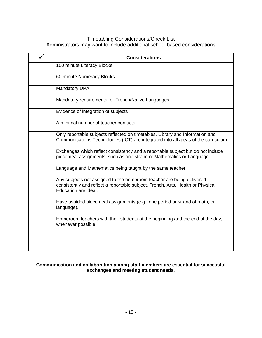#### Timetabling Considerations/Check List Administrators may want to include additional school based considerations

| <b>Considerations</b>                                                                                                                                                            |
|----------------------------------------------------------------------------------------------------------------------------------------------------------------------------------|
| 100 minute Literacy Blocks                                                                                                                                                       |
| 60 minute Numeracy Blocks                                                                                                                                                        |
| <b>Mandatory DPA</b>                                                                                                                                                             |
| Mandatory requirements for French/Native Languages                                                                                                                               |
| Evidence of integration of subjects                                                                                                                                              |
| A minimal number of teacher contacts                                                                                                                                             |
| Only reportable subjects reflected on timetables. Library and Information and<br>Communications Technologies (ICT) are integrated into all areas of the curriculum.              |
| Exchanges which reflect consistency and a reportable subject but do not include<br>piecemeal assignments, such as one strand of Mathematics or Language.                         |
| Language and Mathematics being taught by the same teacher.                                                                                                                       |
| Any subjects not assigned to the homeroom teacher are being delivered<br>consistently and reflect a reportable subject. French, Arts, Health or Physical<br>Education are ideal. |
| Have avoided piecemeal assignments (e.g., one period or strand of math, or<br>language).                                                                                         |
| Homeroom teachers with their students at the beginning and the end of the day,<br>whenever possible.                                                                             |
|                                                                                                                                                                                  |
|                                                                                                                                                                                  |
|                                                                                                                                                                                  |

#### **Communication and collaboration among staff members are essential for successful exchanges and meeting student needs.**